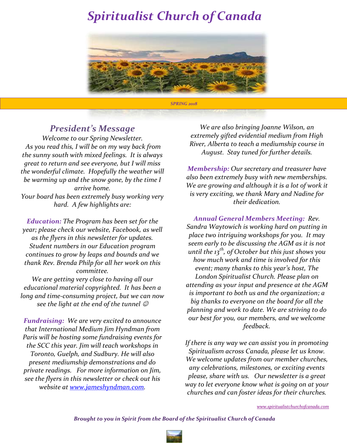

### *President's Message*

*Welcome to our Spring Newsletter. As you read this, I will be on my way back from the sunny south with mixed feelings. It is always great to return and see everyone, but I will miss the wonderful climate. Hopefully the weather will be warming up and the snow gone, by the time I arrive home. Your board has been extremely busy working very hard. A few highlights are:*

*Education: The Program has been set for the year; please check our website, Facebook, as well as the flyers in this newsletter for updates. Student numbers in our Education program continues to grow by leaps and bounds and we thank Rev. Brenda Philp for all her work on this committee.*

*We are getting very close to having all our educational material copyrighted. It has been a long and time-consuming project, but we can now see the light at the end of the tunnel* 

*Fundraising: We are very excited to announce that International Medium Jim Hyndman from Paris will be hosting some fundraising events for the SCC this year. Jim will teach workshops in Toronto, Guelph, and Sudbury. He will also present mediumship demonstrations and do private readings. For more information on Jim, see the flyers in this newsletter or check out his website at [www.jameshyndman.com.](http://www.jameshyndman.com/)*

*We are also bringing Joanne Wilson, an extremely gifted evidential medium from High River, Alberta to teach a mediumship course in August. Stay tuned for further details.*

*Membership: Our secretary and treasurer have also been extremely busy with new memberships. We are growing and although it is a lot of work it is very exciting, we thank Mary and Nadine for their dedication.*

*Annual General Members Meeting: Rev. Sandra Waytowich is working hard on putting in place two intriguing workshops for you. It may seem early to be discussing the AGM as it is not until the 13th, of October but this just shows you how much work and time is involved for this event; many thanks to this year's host, The London Spiritualist Church. Please plan on attending as your input and presence at the AGM is important to both us and the organization; a big thanks to everyone on the board for all the planning and work to date. We are striving to do our best for you, our members, and we welcome feedback.*

*If there is any way we can assist you in promoting Spiritualism across Canada, please let us know. We welcome updates from our member churches, any celebrations, milestones, or exciting events please, share with us. Our newsletter is a great way to let everyone know what is going on at your churches and can foster ideas for their churches.* 

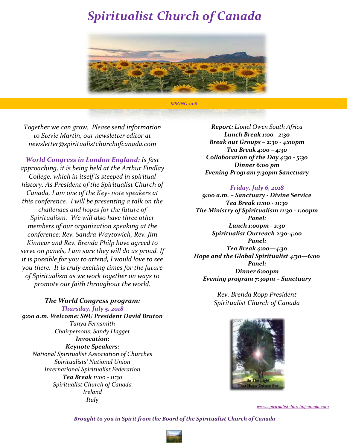

*Together we can grow. Please send information to Stevie Martin, our newsletter editor at newsletter@spiritualistchurchofcanada.com*

*World Congress in London England: Is fast approaching, it is being held at the Arthur Findlay College, which in itself is steeped in spiritual history. As President of the Spiritualist Church of Canada, I am one of the Key- note speakers at this conference. I will be presenting a talk on the challenges and hopes for the future of Spiritualism. We will also have three other members of our organization speaking at the conference: Rev. Sandra Waytowich, Rev. Jim Kinnear and Rev. Brenda Philp have agreed to serve on panels, I am sure they will do us proud. If it is possible for you to attend, I would love to see you there. It is truly exciting times for the future of Spiritualism as we work together on ways to promote our faith throughout the world.*

*The World Congress program: Thursday, July 5, 2018 9:00 a.m. Welcome: SNU President David Bruton Tanya Fernsmith Chairpersons: Sandy Hagger Invocation: Keynote Speakers: National Spiritualist Association of Churches Spiritualists' National Union International Spiritualist Federation Tea Break 11:00 - 11:30 Spiritualist Church of Canada Ireland Italy*

*Report: Lionel Owen South Africa Lunch Break 1:00 - 2:30 Break out Groups – 2:30 - 4:00pm Tea Break 4:00 – 4:30 Collaboration of the Day 4:30 - 5:30 Dinner 6:00 pm Evening Program 7:30pm Sanctuary*

### *Friday, July 6, 2018*

*9:00 a.m. – Sanctuary - Divine Service Tea Break 11:00 - 11:30 The Ministry of Spiritualism 11:30 - 1:00pm Panel: Lunch 1:00pm - 2:30 Spiritualist Outreach 2:30-4:00 Panel: Tea Break 4:00—4:30 Hope and the Global Spiritualist 4:30—6:00 Panel: Dinner 6:00pm Evening program 7:30pm – Sanctuary*

> *Rev. Brenda Ropp President Spiritualist Church of Canada*



*[www.spiritualistchurchofcanada.com](http://www.spiritualistchurchofcanada.com/)*

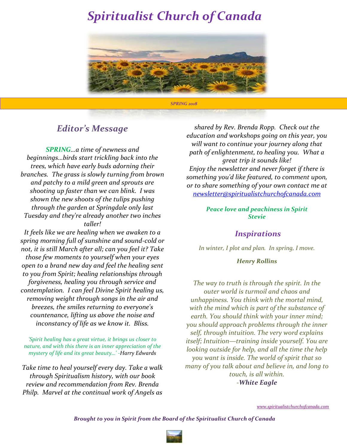

### *Editor's Message*

*SPRING…a time of newness and beginnings…birds start trickling back into the trees, which have early buds adorning their branches. The grass is slowly turning from brown and patchy to a mild green and sprouts are shooting up faster than we can blink. I was shown the new shoots of the tulips pushing through the garden at Springdale only last Tuesday and they're already another two inches taller!*

*It feels like we are healing when we awaken to a spring morning full of sunshine and sound-cold or not, it is still March after all; can you feel it? Take those few moments to yourself when your eyes open to a brand new day and feel the healing sent to you from Spirit; healing relationships through forgiveness, healing you through service and contemplation. I can feel Divine Spirit healing us, removing weight through songs in the air and breezes, the smiles returning to everyone's countenance, lifting us above the noise and inconstancy of life as we know it. Bliss.*

*'Spirit healing has a great virtue, it brings us closer to nature, and with this there is an inner appreciation of the mystery of life and its great beauty…' -Harry Edwards*

*Take time to heal yourself every day. Take a walk through Spiritualism history, with our book review and recommendation from Rev. Brenda Philp. Marvel at the continual work of Angels as* 

*shared by Rev. Brenda Ropp. Check out the education and workshops going on this year, you will want to continue your journey along that path of enlightenment, to healing you. What a great trip it sounds like! Enjoy the newsletter and never forget if there is something you'd like featured, to comment upon, or to share something of your own contact me at [newsletter@spiritualistchurchofcanada.com](mailto:newsletter@spiritualistchurchofcanada.com)*

### *Peace love and peachiness in Spirit Stevie*

### *Inspirations*

*In winter, I plot and plan. In spring, I move.*

### *Henry Rollins*

*The way to truth is through the spirit. In the outer world is turmoil and chaos and unhappiness. You think with the mortal mind, with the mind which is part of the substance of earth. You should think with your inner mind; you should approach problems through the inner self, through intuition. The very word explains itself; Intuition—training inside yourself. You are looking outside for help, and all the time the help you want is inside. The world of spirit that so many of you talk about and believe in, and long to touch, is all within. -White Eagle*

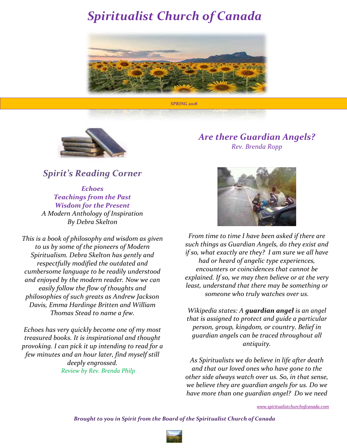



### *Spirit's Reading Corner*

*Echoes Teachings from the Past Wisdom for the Present A Modern Anthology of Inspiration By Debra Skelton*

*This is a book of philosophy and wisdom as given to us by some of the pioneers of Modern Spiritualism. Debra Skelton has gently and respectfully modified the outdated and cumbersome language to be readily understood and enjoyed by the modern reader. Now we can easily follow the flow of thoughts and philosophies of such greats as Andrew Jackson Davis, Emma Hardinge Britten and William Thomas Stead to name a few.*

*Echoes has very quickly become one of my most treasured books. It is inspirational and thought provoking. I can pick it up intending to read for a few minutes and an hour later, find myself still deeply engrossed. Review by Rev. Brenda Philp*

### *Are there Guardian Angels? Rev. Brenda Ropp*



*From time to time I have been asked if there are such things as Guardian Angels, do they exist and if so, what exactly are they? I am sure we all have had or heard of angelic type experiences, encounters or coincidences that cannot be explained. If so, we may then believe or at the very least, understand that there may be something or someone who truly watches over us.* 

*Wikipedia states: A guardian angel is an [angel](https://en.wikipedia.org/wiki/Angel) that is assigned to protect and guide a particular [person,](https://en.wikipedia.org/wiki/Human) group, kingdom, or country. Belief in guardian angels can be traced throughout all antiquity.*

*As Spiritualists we do believe in life after death and that our loved ones who have gone to the other side always watch over us. So, in that sense, we believe they are guardian angels for us. Do we have more than one guardian angel? Do we need* 

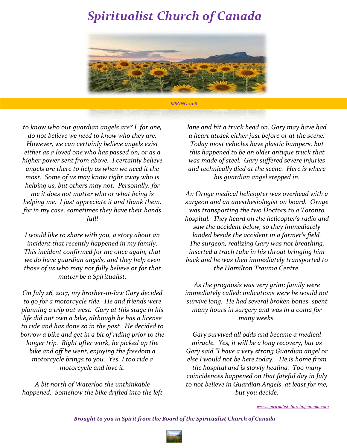

*to know who our guardian angels are? I, for one, do not believe we need to know who they are. However, we can certainly believe angels exist either as a loved one who has passed on, or as a higher power sent from above. I certainly believe angels are there to help us when we need it the most. Some of us may know right away who is helping us, but others may not. Personally, for me it does not matter who or what being is helping me. I just appreciate it and thank them, for in my case, sometimes they have their hands full!*

*I would like to share with you, a story about an incident that recently happened in my family. This incident confirmed for me once again, that we do have guardian angels, and they help even those of us who may not fully believe or for that matter be a Spiritualist.*

*On July 26, 2017, my brother-in-law Gary decided to go for a motorcycle ride. He and friends were planning a trip out west. Gary at this stage in his life did not own a bike, although he has a license to ride and has done so in the past. He decided to borrow a bike and get in a bit of riding prior to the longer trip. Right after work, he picked up the bike and off he went, enjoying the freedom a motorcycle brings to you. Yes, I too ride a motorcycle and love it.*

*A bit north of Waterloo the unthinkable happened. Somehow the bike drifted into the left*  *lane and hit a truck head on. Gary may have had a heart attack either just before or at the scene. Today most vehicles have plastic bumpers, but this happened to be an older antique truck that was made of steel. Gary suffered severe injuries and technically died at the scene. Here is where his guardian angel stepped in.*

*An Ornge medical helicopter was overhead with a surgeon and an anesthesiologist on board. Ornge was transporting the two Doctors to a Toronto hospital. They heard on the helicopter's radio and saw the accident below, so they immediately landed beside the accident in a farmer's field. The surgeon, realizing Gary was not breathing, inserted a trach tube in his throat bringing him back and he was then immediately transported to the Hamilton Trauma Centre.* 

*As the prognosis was very grim; family were immediately called; indications were he would not survive long. He had several broken bones, spent many hours in surgery and was in a coma for many weeks.*

*Gary survived all odds and became a medical miracle. Yes, it will be a long recovery, but as Gary said "I have a very strong Guardian angel or else I would not be here today. He is home from the hospital and is slowly healing. Too many coincidences happened on that fateful day in July to not believe in Guardian Angels, at least for me, but you decide.*

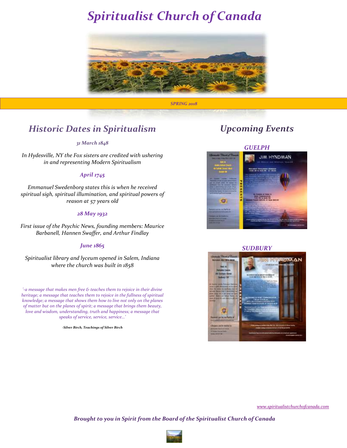

### *Historic Dates in Spiritualism*

#### *31 March 1848*

*In Hydesville, NY the Fox sisters are credited with ushering in and representing Modern Spiritualism*

#### *April 1745*

*Emmanuel Swedenborg states this is when he received spiritual sigh, spiritual illumination, and spiritual powers of reason at 57 years old*

#### *28 May 1932*

*First issue of the Psychic News, founding members: Maurice Barbanell, Hannen Swaffer, and Arthur Findlay*

#### *June 1865*

*Spiritualist library and lyceum opened in Salem, Indiana where the church was built in 1858*

*'-a message that makes men free & teaches them to rejoice in their divine heritage; a message that teaches them to rejoice in the fullness of spiritual knowledge; a message that shows them how to live not only on the planes of matter but on the planes of spirit; a message that brings them beauty, love and wisdom, understanding, truth and happiness; a message that speaks of service, service, service…'*

*-Silver Birch, Teachings of Silver Birch*

### *Upcoming Events*

### *GUELPH*



#### *SUDBURY*



*[www.spiritualistchurchofcanada.com](http://www.spiritualistchurchofcanada.com/)*

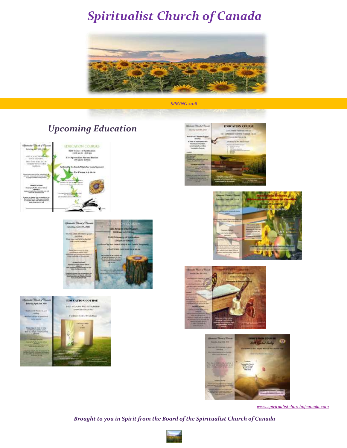















*[www.spiritualistchurchofcanada.com](http://www.spiritualistchurchofcanada.com/)*